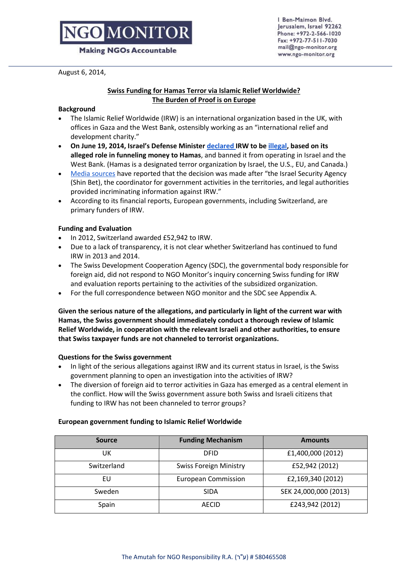# **D**MONITO

**Making NGOs Accountable** 

August 6, 2014,

#### I Ben-Maimon Blvd. Jerusalem, Israel 92262 Phone: +972-2-566-1020 Fax: +972-77-511-7030 mail@ngo-monitor.org www.ngo-monitor.org

## **Swiss Funding for Hamas Terror via Islamic Relief Worldwide? The Burden of Proof is on Europe**

## **Background**

- The Islamic Relief Worldwide (IRW) is an international organization based in the UK, with offices in Gaza and the West Bank, ostensibly working as an "international relief and development charity."
- **On June 19, 2014, Israel's Defense Minister [declared I](http://www.jpost.com/Operation-Brothers-Keeper/Israel-bans-Islamic-Relief-Worldwide-from-West-Bank-due-to-Hamas-ties-359934)RW to b[e illegal,](http://www.ngo-monitor.org/article/islamic_relief_s_alleged_hamas_links_implicate_european_funders) based on its alleged role in funneling money to Hamas**, and banned it from operating in Israel and the West Bank. (Hamas is a designated terror organization by Israel, the U.S., EU, and Canada.)
- [Media sources](http://www.jpost.com/Operation-Brothers-Keeper/Israel-bans-Islamic-Relief-Worldwide-from-West-Bank-due-to-Hamas-ties-359934) have reported that the decision was made after "the Israel Security Agency (Shin Bet), the coordinator for government activities in the territories, and legal authorities provided incriminating information against IRW."
- According to its financial reports, European governments, including Switzerland, are primary funders of IRW.

## **Funding and Evaluation**

- In 2012, Switzerland awarded £52,942 to IRW.
- Due to a lack of transparency, it is not clear whether Switzerland has continued to fund IRW in 2013 and 2014.
- The Swiss Development Cooperation Agency (SDC), the governmental body responsible for foreign aid, did not respond to NGO Monitor's inquiry concerning Swiss funding for IRW and evaluation reports pertaining to the activities of the subsidized organization.
- For the full correspondence between NGO monitor and the SDC see Appendix A.

**Given the serious nature of the allegations, and particularly in light of the current war with Hamas, the Swiss government should immediately conduct a thorough review of Islamic Relief Worldwide, in cooperation with the relevant Israeli and other authorities, to ensure that Swiss taxpayer funds are not channeled to terrorist organizations.**

### **Questions for the Swiss government**

- In light of the serious allegations against IRW and its current status in Israel, is the Swiss government planning to open an investigation into the activities of IRW?
- The diversion of foreign aid to terror activities in Gaza has emerged as a central element in the conflict. How will the Swiss government assure both Swiss and Israeli citizens that funding to IRW has not been channeled to terror groups?

### **European government funding to Islamic Relief Worldwide**

| <b>Source</b> | <b>Funding Mechanism</b>      | <b>Amounts</b>        |
|---------------|-------------------------------|-----------------------|
| UK            | <b>DFID</b>                   | £1,400,000 (2012)     |
| Switzerland   | <b>Swiss Foreign Ministry</b> | £52,942 (2012)        |
| EU            | <b>European Commission</b>    | £2,169,340 (2012)     |
| Sweden        | <b>SIDA</b>                   | SEK 24,000,000 (2013) |
| Spain         | <b>AECID</b>                  | £243,942 (2012)       |